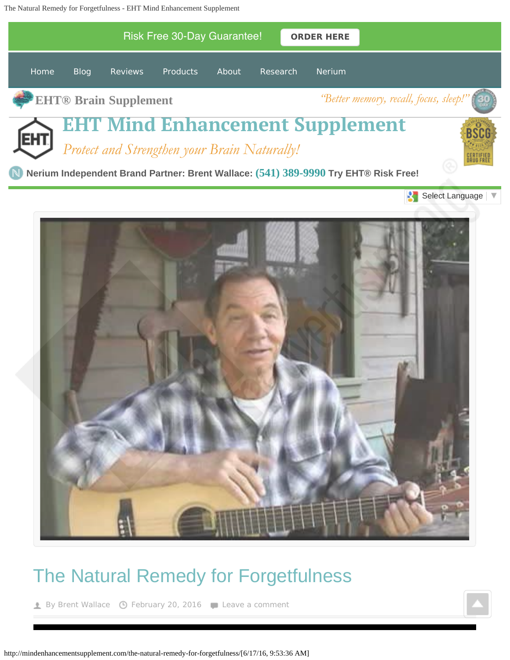The Natural Remedy for Forgetfulness - EHT Mind Enhancement Supplement



# The Natural Remedy for Forgetfulness

By Brent Wallace <sup>1</sup> February 20, 2016 **P** Leave a comment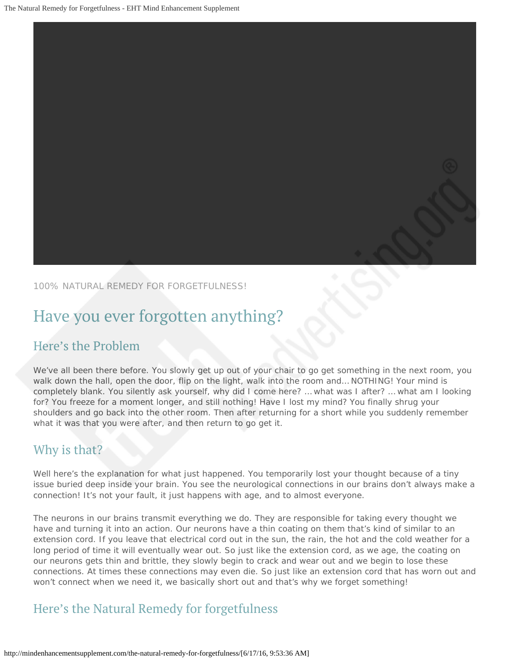

100% NATURAL REMEDY FOR FORGETEUI NESS!

## Have you ever forgotten anything?

#### Here's the Problem

We've all been there before. You slowly get up out of your chair to go get something in the next room, you walk down the hall, open the door, flip on the light, walk into the room and... NOTHING! Your mind is completely blank. You silently ask yourself, why did I come here? … what was I after? … what am I looking for? You freeze for a moment longer, and still nothing! Have I lost my mind? You finally shrug your shoulders and go back into the other room. Then after returning for a short while you suddenly remember what it was that you were after, and then return to go get it.

### Why is that?

Well here's the explanation for what just happened. You temporarily lost your thought because of a tiny issue buried deep inside your brain. You see the neurological connections in our brains don't always make a connection! It's not your fault, it just happens with age, and to almost everyone.

The neurons in our brains transmit everything we do. They are responsible for taking every thought we have and turning it into an action. Our neurons have a thin coating on them that's kind of similar to an extension cord. If you leave that electrical cord out in the sun, the rain, the hot and the cold weather for a long period of time it will eventually wear out. So just like the extension cord, as we age, the coating on our neurons gets thin and brittle, they slowly begin to crack and wear out and we begin to lose these connections. At times these connections may even die. So just like an extension cord that has worn out and won't connect when we need it, we basically short out and that's why we forget something!

### Here's the Natural Remedy for forgetfulness